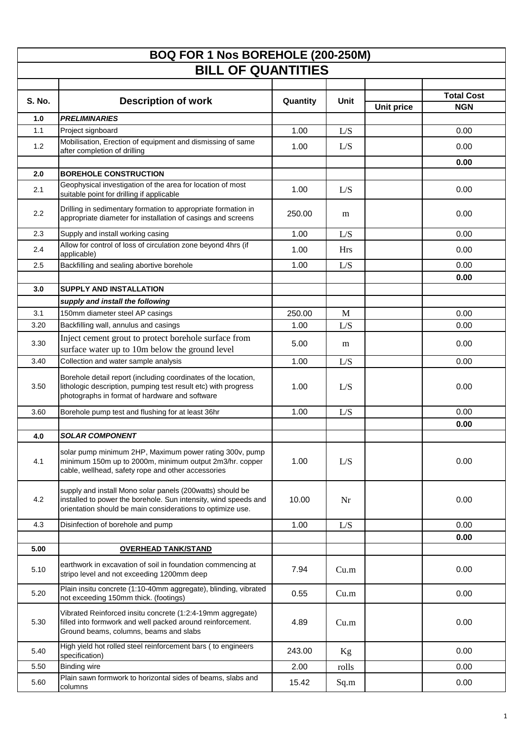| <b>BOQ FOR 1 Nos BOREHOLE (200-250M)</b><br><b>BILL OF QUANTITIES</b> |                                                                                                                                                                                            |          |            |                   |                   |  |  |  |
|-----------------------------------------------------------------------|--------------------------------------------------------------------------------------------------------------------------------------------------------------------------------------------|----------|------------|-------------------|-------------------|--|--|--|
|                                                                       |                                                                                                                                                                                            |          |            |                   |                   |  |  |  |
| <b>S. No.</b>                                                         | <b>Description of work</b>                                                                                                                                                                 | Quantity | Unit       |                   | <b>Total Cost</b> |  |  |  |
|                                                                       |                                                                                                                                                                                            |          |            | <b>Unit price</b> | <b>NGN</b>        |  |  |  |
| 1.0                                                                   | <b>PRELIMINARIES</b>                                                                                                                                                                       |          |            |                   |                   |  |  |  |
| 1.1                                                                   | Project signboard<br>Mobilisation, Erection of equipment and dismissing of same                                                                                                            | 1.00     | L/S        |                   | 0.00              |  |  |  |
| 1.2                                                                   | after completion of drilling                                                                                                                                                               | 1.00     | L/S        |                   | 0.00              |  |  |  |
|                                                                       |                                                                                                                                                                                            |          |            |                   | 0.00              |  |  |  |
| 2.0                                                                   | <b>BOREHOLE CONSTRUCTION</b>                                                                                                                                                               |          |            |                   |                   |  |  |  |
| 2.1                                                                   | Geophysical investigation of the area for location of most<br>suitable point for drilling if applicable                                                                                    | 1.00     | L/S        |                   | 0.00              |  |  |  |
| 2.2                                                                   | Drilling in sedimentary formation to appropriate formation in<br>appropriate diameter for installation of casings and screens                                                              | 250.00   | m          |                   | 0.00              |  |  |  |
| 2.3                                                                   | Supply and install working casing                                                                                                                                                          | 1.00     | L/S        |                   | 0.00              |  |  |  |
| 2.4                                                                   | Allow for control of loss of circulation zone beyond 4hrs (if<br>applicable)                                                                                                               | 1.00     | <b>Hrs</b> |                   | 0.00              |  |  |  |
| 2.5                                                                   | Backfilling and sealing abortive borehole                                                                                                                                                  | 1.00     | L/S        |                   | 0.00              |  |  |  |
|                                                                       |                                                                                                                                                                                            |          |            |                   | 0.00              |  |  |  |
| 3.0                                                                   | <b>SUPPLY AND INSTALLATION</b>                                                                                                                                                             |          |            |                   |                   |  |  |  |
| 3.1                                                                   | supply and install the following<br>150mm diameter steel AP casings                                                                                                                        | 250.00   | M          |                   | 0.00              |  |  |  |
| 3.20                                                                  | Backfilling wall, annulus and casings                                                                                                                                                      | 1.00     | L/S        |                   | 0.00              |  |  |  |
|                                                                       | Inject cement grout to protect borehole surface from                                                                                                                                       |          |            |                   |                   |  |  |  |
| 3.30                                                                  | surface water up to 10m below the ground level                                                                                                                                             | 5.00     | m          |                   | 0.00              |  |  |  |
| 3.40                                                                  | Collection and water sample analysis                                                                                                                                                       | 1.00     | L/S        |                   | 0.00              |  |  |  |
| 3.50                                                                  | Borehole detail report (including coordinates of the location,<br>lithologic description, pumping test result etc) with progress<br>photographs in format of hardware and software         | 1.00     | L/S        |                   | 0.00              |  |  |  |
| 3.60                                                                  | Borehole pump test and flushing for at least 36hr                                                                                                                                          | 1.00     | L/S        |                   | 0.00              |  |  |  |
|                                                                       |                                                                                                                                                                                            |          |            |                   | 0.00              |  |  |  |
| 4.0                                                                   | <b>SOLAR COMPONENT</b>                                                                                                                                                                     |          |            |                   |                   |  |  |  |
| 4.1                                                                   | solar pump minimum 2HP, Maximum power rating 300v, pump<br>minimum 150m up to 2000m, minimum output 2m3/hr. copper<br>cable, wellhead, safety rope and other accessories                   | 1.00     | L/S        |                   | 0.00              |  |  |  |
| 4.2                                                                   | supply and install Mono solar panels (200watts) should be<br>installed to power the borehole. Sun intensity, wind speeds and<br>orientation should be main considerations to optimize use. | 10.00    | Nr         |                   | 0.00              |  |  |  |
| 4.3                                                                   | Disinfection of borehole and pump                                                                                                                                                          | 1.00     | L/S        |                   | 0.00              |  |  |  |
|                                                                       |                                                                                                                                                                                            |          |            |                   | 0.00              |  |  |  |
| 5.00                                                                  | <b>OVERHEAD TANK/STAND</b>                                                                                                                                                                 |          |            |                   |                   |  |  |  |
| 5.10                                                                  | earthwork in excavation of soil in foundation commencing at<br>stripo level and not exceeding 1200mm deep                                                                                  | 7.94     | Cu.m       |                   | 0.00              |  |  |  |
| 5.20                                                                  | Plain insitu concrete (1:10-40mm aggregate), blinding, vibrated<br>not exceeding 150mm thick. (footings)                                                                                   | 0.55     | Cu.m       |                   | 0.00              |  |  |  |
| 5.30                                                                  | Vibrated Reinforced insitu concrete (1:2:4-19mm aggregate)<br>filled into formwork and well packed around reinforcement.<br>Ground beams, columns, beams and slabs                         | 4.89     | Cu.m       |                   | 0.00              |  |  |  |
| 5.40                                                                  | High yield hot rolled steel reinforcement bars (to engineers<br>specification)                                                                                                             | 243.00   | Kg         |                   | 0.00              |  |  |  |
| 5.50                                                                  | <b>Binding wire</b>                                                                                                                                                                        | 2.00     | rolls      |                   | 0.00              |  |  |  |
| 5.60                                                                  | Plain sawn formwork to horizontal sides of beams, slabs and<br>columns                                                                                                                     | 15.42    | Sq.m       |                   | 0.00              |  |  |  |